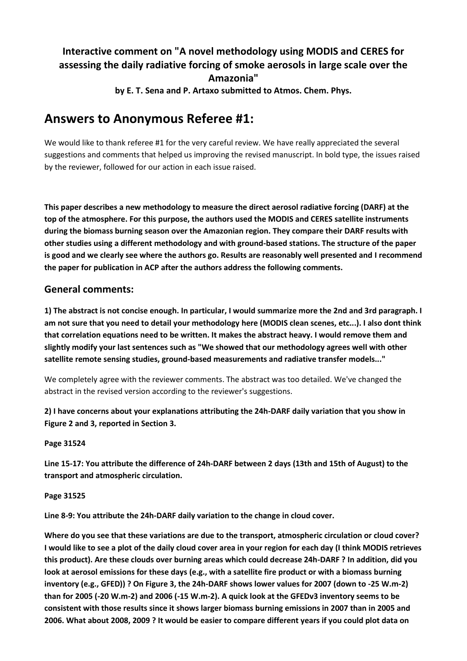# **Interactive comment on "A novel methodology using MODIS and CERES for assessing the daily radiative forcing of smoke aerosols in large scale over the Amazonia"**

**by E. T. Sena and P. Artaxo submitted to Atmos. Chem. Phys.**

# **Answers to Anonymous Referee #1:**

We would like to thank referee #1 for the very careful review. We have really appreciated the several suggestions and comments that helped us improving the revised manuscript. In bold type, the issues raised by the reviewer, followed for our action in each issue raised.

**This paper describes a new methodology to measure the direct aerosol radiative forcing (DARF) at the top of the atmosphere. For this purpose, the authors used the MODIS and CERES satellite instruments during the biomass burning season over the Amazonian region. They compare their DARF results with other studies using a different methodology and with ground-based stations. The structure of the paper is good and we clearly see where the authors go. Results are reasonably well presented and I recommend the paper for publication in ACP after the authors address the following comments.**

## **General comments:**

**1) The abstract is not concise enough. In particular, I would summarize more the 2nd and 3rd paragraph. I am not sure that you need to detail your methodology here (MODIS clean scenes, etc...). I also dont think that correlation equations need to be written. It makes the abstract heavy. I would remove them and slightly modify your last sentences such as "We showed that our methodology agrees well with other satellite remote sensing studies, ground-based measurements and radiative transfer models..."**

We completely agree with the reviewer comments. The abstract was too detailed. We've changed the abstract in the revised version according to the reviewer's suggestions.

**2) I have concerns about your explanations attributing the 24h-DARF daily variation that you show in Figure 2 and 3, reported in Section 3.**

**Page 31524**

**Line 15-17: You attribute the difference of 24h-DARF between 2 days (13th and 15th of August) to the transport and atmospheric circulation.**

#### **Page 31525**

**Line 8-9: You attribute the 24h-DARF daily variation to the change in cloud cover.**

**Where do you see that these variations are due to the transport, atmospheric circulation or cloud cover? I would like to see a plot of the daily cloud cover area in your region for each day (I think MODIS retrieves this product). Are these clouds over burning areas which could decrease 24h-DARF ? In addition, did you look at aerosol emissions for these days (e.g., with a satellite fire product or with a biomass burning inventory (e.g., GFED)) ? On Figure 3, the 24h-DARF shows lower values for 2007 (down to -25 W.m-2) than for 2005 (-20 W.m-2) and 2006 (-15 W.m-2). A quick look at the GFEDv3 inventory seems to be consistent with those results since it shows larger biomass burning emissions in 2007 than in 2005 and 2006. What about 2008, 2009 ? It would be easier to compare different years if you could plot data on**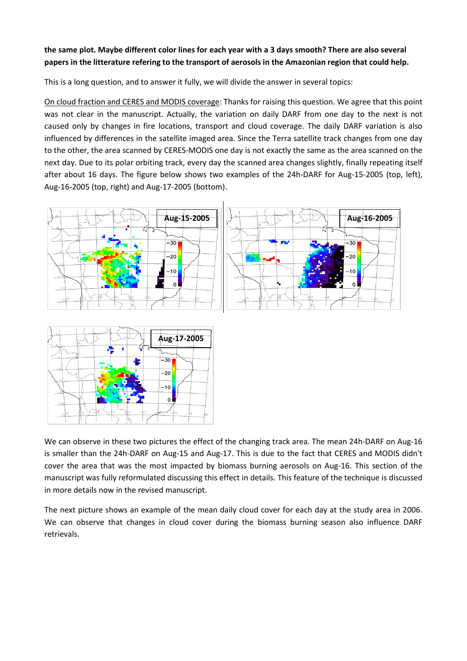#### **the same plot. Maybe different color lines for each year with a 3 days smooth? There are also several papers in the litterature refering to the transport of aerosols in the Amazonian region that could help.**

This is a long question, and to answer it fully, we will divide the answer in several topics:

On cloud fraction and CERES and MODIS coverage: Thanks for raising this question. We agree that this point was not clear in the manuscript. Actually, the variation on daily DARF from one day to the next is not caused only by changes in fire locations, transport and cloud coverage. The daily DARF variation is also influenced by differences in the satellite imaged area. Since the Terra satellite track changes from one day to the other, the area scanned by CERES-MODIS one day is not exactly the same as the area scanned on the next day. Due to its polar orbiting track, every day the scanned area changes slightly, finally repeating itself after about 16 days. The figure below shows two examples of the 24h-DARF for Aug-15-2005 (top, left), Aug-16-2005 (top, right) and Aug-17-2005 (bottom).





We can observe in these two pictures the effect of the changing track area. The mean 24h-DARF on Aug-16 is smaller than the 24h-DARF on Aug-15 and Aug-17. This is due to the fact that CERES and MODIS didn't cover the area that was the most impacted by biomass burning aerosols on Aug-16. This section of the manuscript was fully reformulated discussing this effect in details. This feature of the technique is discussed in more details now in the revised manuscript.

The next picture shows an example of the mean daily cloud cover for each day at the study area in 2006. We can observe that changes in cloud cover during the biomass burning season also influence DARF retrievals.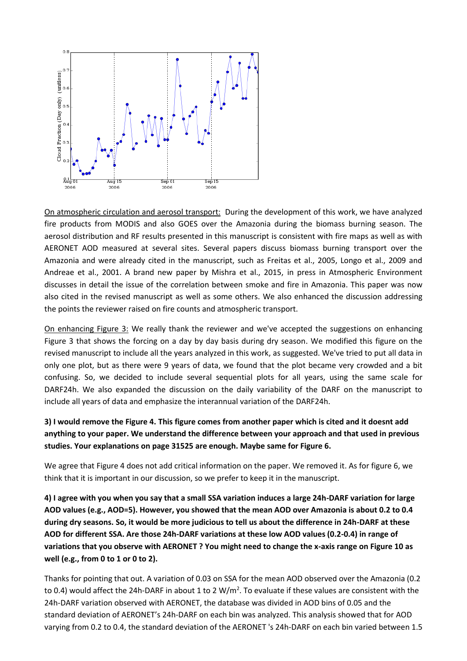

On atmospheric circulation and aerosol transport: During the development of this work, we have analyzed fire products from MODIS and also GOES over the Amazonia during the biomass burning season. The aerosol distribution and RF results presented in this manuscript is consistent with fire maps as well as with AERONET AOD measured at several sites. Several papers discuss biomass burning transport over the Amazonia and were already cited in the manuscript, such as Freitas et al., 2005, Longo et al., 2009 and Andreae et al., 2001. A brand new paper by Mishra et al., 2015, in press in Atmospheric Environment discusses in detail the issue of the correlation between smoke and fire in Amazonia. This paper was now also cited in the revised manuscript as well as some others. We also enhanced the discussion addressing the points the reviewer raised on fire counts and atmospheric transport.

On enhancing Figure 3: We really thank the reviewer and we've accepted the suggestions on enhancing Figure 3 that shows the forcing on a day by day basis during dry season. We modified this figure on the revised manuscript to include all the years analyzed in this work, as suggested. We've tried to put all data in only one plot, but as there were 9 years of data, we found that the plot became very crowded and a bit confusing. So, we decided to include several sequential plots for all years, using the same scale for DARF24h. We also expanded the discussion on the daily variability of the DARF on the manuscript to include all years of data and emphasize the interannual variation of the DARF24h.

## **3) I would remove the Figure 4. This figure comes from another paper which is cited and it doesnt add anything to your paper. We understand the difference between your approach and that used in previous studies. Your explanations on page 31525 are enough. Maybe same for Figure 6.**

We agree that Figure 4 does not add critical information on the paper. We removed it. As for figure 6, we think that it is important in our discussion, so we prefer to keep it in the manuscript.

**4) I agree with you when you say that a small SSA variation induces a large 24h-DARF variation for large AOD values (e.g., AOD=5). However, you showed that the mean AOD over Amazonia is about 0.2 to 0.4 during dry seasons. So, it would be more judicious to tell us about the difference in 24h-DARF at these AOD for different SSA. Are those 24h-DARF variations at these low AOD values (0.2-0.4) in range of variations that you observe with AERONET ? You might need to change the x-axis range on Figure 10 as well (e.g., from 0 to 1 or 0 to 2).**

Thanks for pointing that out. A variation of 0.03 on SSA for the mean AOD observed over the Amazonia (0.2 to 0.4) would affect the 24h-DARF in about 1 to 2  $W/m^2$ . To evaluate if these values are consistent with the 24h-DARF variation observed with AERONET, the database was divided in AOD bins of 0.05 and the standard deviation of AERONET's 24h-DARF on each bin was analyzed. This analysis showed that for AOD varying from 0.2 to 0.4, the standard deviation of the AERONET 's 24h-DARF on each bin varied between 1.5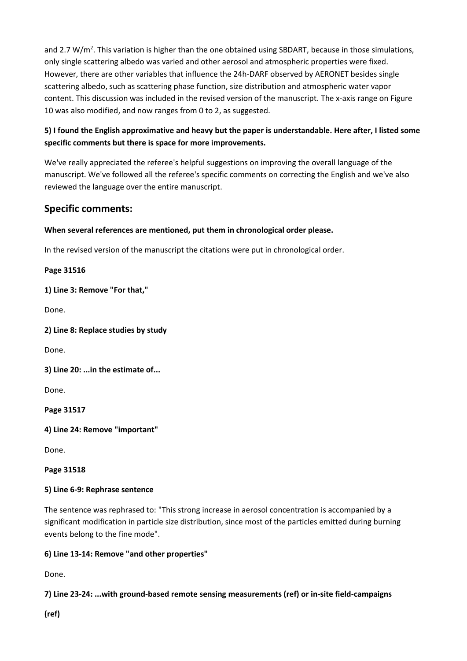and 2.7 W/m<sup>2</sup>. This variation is higher than the one obtained using SBDART, because in those simulations, only single scattering albedo was varied and other aerosol and atmospheric properties were fixed. However, there are other variables that influence the 24h-DARF observed by AERONET besides single scattering albedo, such as scattering phase function, size distribution and atmospheric water vapor content. This discussion was included in the revised version of the manuscript. The x-axis range on Figure 10 was also modified, and now ranges from 0 to 2, as suggested.

## **5) I found the English approximative and heavy but the paper is understandable. Here after, I listed some specific comments but there is space for more improvements.**

We've really appreciated the referee's helpful suggestions on improving the overall language of the manuscript. We've followed all the referee's specific comments on correcting the English and we've also reviewed the language over the entire manuscript.

# **Specific comments:**

## **When several references are mentioned, put them in chronological order please.**

In the revised version of the manuscript the citations were put in chronological order.

#### **Page 31516**

**1) Line 3: Remove "For that,"**

Done.

**2) Line 8: Replace studies by study**

Done.

**3) Line 20: ...in the estimate of...**

Done.

**Page 31517**

**4) Line 24: Remove "important"**

Done.

#### **Page 31518**

#### **5) Line 6-9: Rephrase sentence**

The sentence was rephrased to: "This strong increase in aerosol concentration is accompanied by a significant modification in particle size distribution, since most of the particles emitted during burning events belong to the fine mode".

#### **6) Line 13-14: Remove "and other properties"**

Done.

## **7) Line 23-24: ...with ground-based remote sensing measurements (ref) or in-site field-campaigns**

**(ref)**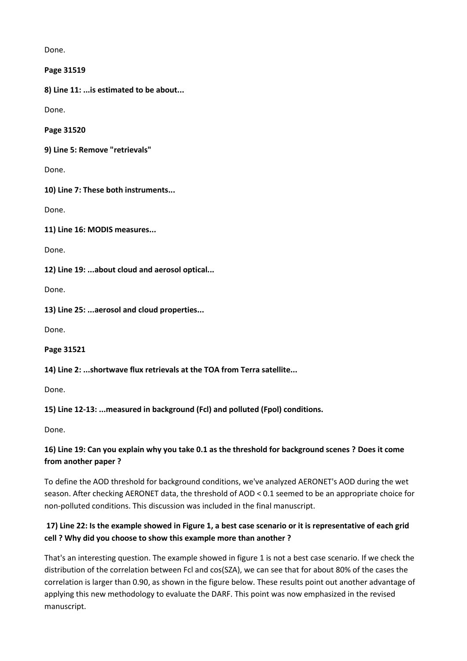Done.

**Page 31519**

**8) Line 11: ...is estimated to be about...**

Done.

**Page 31520**

**9) Line 5: Remove "retrievals"**

Done.

**10) Line 7: These both instruments...**

Done.

**11) Line 16: MODIS measures...**

Done.

**12) Line 19: ...about cloud and aerosol optical...**

Done.

**13) Line 25: ...aerosol and cloud properties...**

Done.

**Page 31521**

**14) Line 2: ...shortwave flux retrievals at the TOA from Terra satellite...**

Done.

**15) Line 12-13: ...measured in background (Fcl) and polluted (Fpol) conditions.**

Done.

## **16) Line 19: Can you explain why you take 0.1 as the threshold for background scenes ? Does it come from another paper ?**

To define the AOD threshold for background conditions, we've analyzed AERONET's AOD during the wet season. After checking AERONET data, the threshold of AOD < 0.1 seemed to be an appropriate choice for non-polluted conditions. This discussion was included in the final manuscript.

## **17) Line 22: Is the example showed in Figure 1, a best case scenario or it is representative of each grid cell ? Why did you choose to show this example more than another ?**

That's an interesting question. The example showed in figure 1 is not a best case scenario. If we check the distribution of the correlation between Fcl and cos(SZA), we can see that for about 80% of the cases the correlation is larger than 0.90, as shown in the figure below. These results point out another advantage of applying this new methodology to evaluate the DARF. This point was now emphasized in the revised manuscript.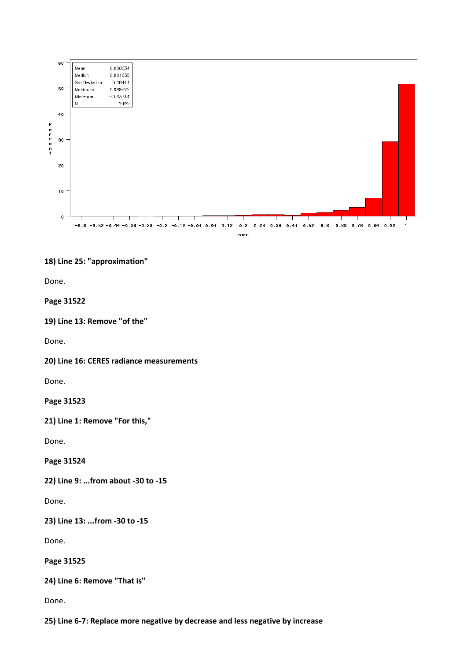

#### **18) Line 25: "approximation"**

Done.

#### **Page 31522**

```
19) Line 13: Remove "of the"
```
Done.

**20) Line 16: CERES radiance measurements**

Done.

**Page 31523**

**21) Line 1: Remove "For this,"**

Done.

**Page 31524**

**22) Line 9: ...from about -30 to -15**

Done.

**23) Line 13: ...from -30 to -15**

Done.

**Page 31525**

**24) Line 6: Remove "That is"**

Done.

**25) Line 6-7: Replace more negative by decrease and less negative by increase**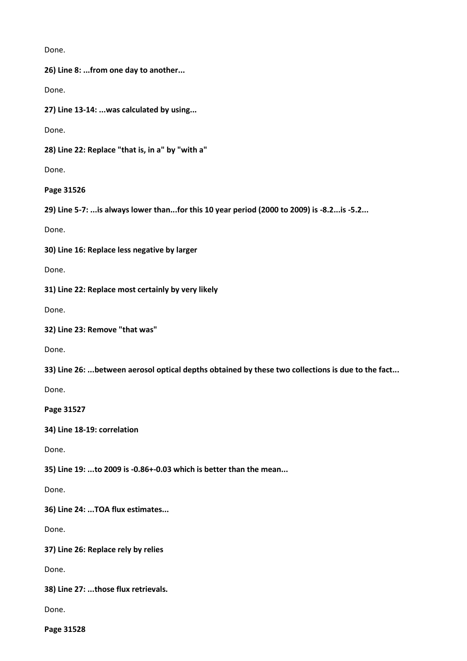Done.

**26) Line 8: ...from one day to another...**

Done.

**27) Line 13-14: ...was calculated by using...**

Done.

**28) Line 22: Replace "that is, in a" by "with a"**

Done.

**Page 31526**

**29) Line 5-7: ...is always lower than...for this 10 year period (2000 to 2009) is -8.2...is -5.2...**

Done.

**30) Line 16: Replace less negative by larger**

Done.

**31) Line 22: Replace most certainly by very likely**

Done.

**32) Line 23: Remove "that was"**

Done.

**33) Line 26: ...between aerosol optical depths obtained by these two collections is due to the fact...**

Done.

**Page 31527**

**34) Line 18-19: correlation**

Done.

**35) Line 19: ...to 2009 is -0.86+-0.03 which is better than the mean...**

Done.

**36) Line 24: ...TOA flux estimates...**

Done.

**37) Line 26: Replace rely by relies**

Done.

**38) Line 27: ...those flux retrievals.**

Done.

**Page 31528**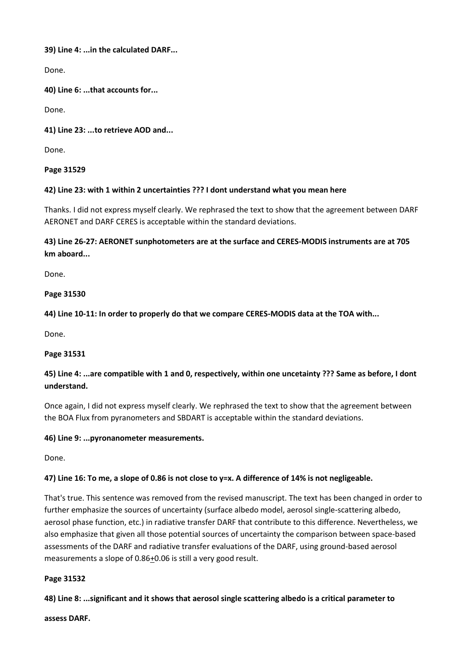**39) Line 4: ...in the calculated DARF...**

Done.

**40) Line 6: ...that accounts for...**

Done.

#### **41) Line 23: ...to retrieve AOD and...**

Done.

#### **Page 31529**

#### **42) Line 23: with 1 within 2 uncertainties ??? I dont understand what you mean here**

Thanks. I did not express myself clearly. We rephrased the text to show that the agreement between DARF AERONET and DARF CERES is acceptable within the standard deviations.

## **43) Line 26-27: AERONET sunphotometers are at the surface and CERES-MODIS instruments are at 705 km aboard...**

Done.

#### **Page 31530**

**44) Line 10-11: In order to properly do that we compare CERES-MODIS data at the TOA with...**

Done.

#### **Page 31531**

## **45) Line 4: ...are compatible with 1 and 0, respectively, within one uncetainty ??? Same as before, I dont understand.**

Once again, I did not express myself clearly. We rephrased the text to show that the agreement between the BOA Flux from pyranometers and SBDART is acceptable within the standard deviations.

#### **46) Line 9: ...pyronanometer measurements.**

Done.

## **47) Line 16: To me, a slope of 0.86 is not close to y=x. A difference of 14% is not negligeable.**

That's true. This sentence was removed from the revised manuscript. The text has been changed in order to further emphasize the sources of uncertainty (surface albedo model, aerosol single-scattering albedo, aerosol phase function, etc.) in radiative transfer DARF that contribute to this difference. Nevertheless, we also emphasize that given all those potential sources of uncertainty the comparison between space-based assessments of the DARF and radiative transfer evaluations of the DARF, using ground-based aerosol measurements a slope of 0.86+0.06 is still a very good result.

#### **Page 31532**

**48) Line 8: ...significant and it shows that aerosol single scattering albedo is a critical parameter to**

**assess DARF.**